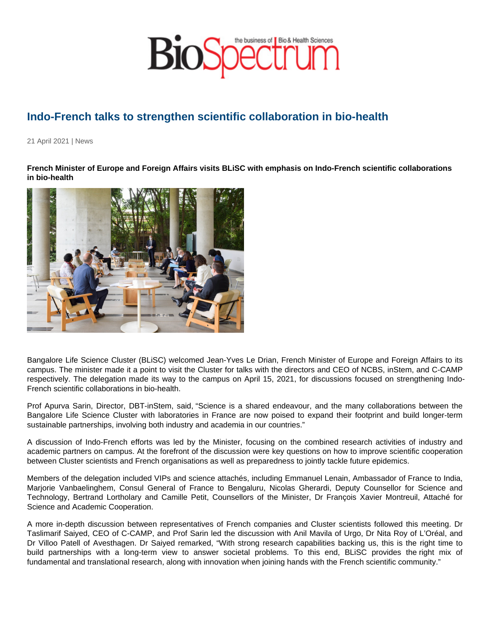## Indo-French talks to strengthen scientific collaboration in bio-health

21 April 2021 | News

French Minister of Europe and Foreign Affairs visits BLiSC with emphasis on Indo-French scientific collaborations in bio-health

Bangalore Life Science Cluster (BLiSC) welcomed Jean-Yves Le Drian, French Minister of Europe and Foreign Affairs to its campus. The minister made it a point to visit the Cluster for talks with the directors and CEO of NCBS, inStem, and C-CAMP respectively. The delegation made its way to the campus on April 15, 2021, for discussions focused on strengthening Indo-French scientific collaborations in bio-health.

Prof Apurva Sarin, Director, DBT-inStem, said, "Science is a shared endeavour, and the many collaborations between the Bangalore Life Science Cluster with laboratories in France are now poised to expand their footprint and build longer-term sustainable partnerships, involving both industry and academia in our countries."

A discussion of Indo-French efforts was led by the Minister, focusing on the combined research activities of industry and academic partners on campus. At the forefront of the discussion were key questions on how to improve scientific cooperation between Cluster scientists and French organisations as well as preparedness to jointly tackle future epidemics.

Members of the delegation included VIPs and science attachés, including Emmanuel Lenain, Ambassador of France to India, Marjorie Vanbaelinghem, Consul General of France to Bengaluru, Nicolas Gherardi, Deputy Counsellor for Science and Technology, Bertrand Lortholary and Camille Petit, Counsellors of the Minister, Dr François Xavier Montreuil, Attaché for Science and Academic Cooperation.

A more in-depth discussion between representatives of French companies and Cluster scientists followed this meeting. Dr Taslimarif Saiyed, CEO of C-CAMP, and Prof Sarin led the discussion with Anil Mavila of Urgo, Dr Nita Roy of L'Oréal, and Dr Villoo Patell of Avesthagen. Dr Saiyed remarked, "With strong research capabilities backing us, this is the right time to build partnerships with a long-term view to answer societal problems. To this end, BLiSC provides the right mix of fundamental and translational research, along with innovation when joining hands with the French scientific community."